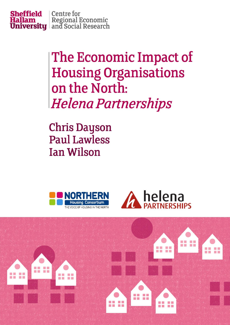

The Economic Impact of **Housing Organisations** on the North: **Helena Partnerships** 

**Chris Dayson Paul Lawless Ian Wilson** 





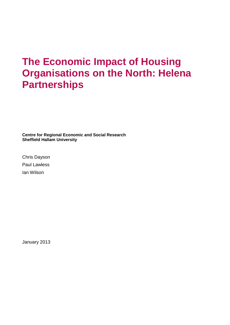# **The Economic Impact of Housing Organisations on the North: Helena Partnerships**

**Centre for Regional Economic and Social Research Sheffield Hallam University**

Chris Dayson Paul Lawless Ian Wilson

January 2013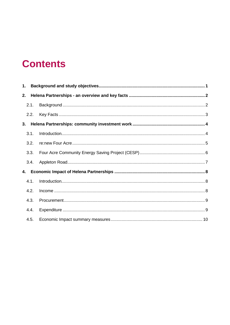# **Contents**

| 1. |      |  |  |  |  |  |
|----|------|--|--|--|--|--|
| 2. |      |  |  |  |  |  |
|    | 2.1. |  |  |  |  |  |
|    | 2.2. |  |  |  |  |  |
| 3. |      |  |  |  |  |  |
|    | 3.1. |  |  |  |  |  |
|    | 3.2. |  |  |  |  |  |
|    | 3.3. |  |  |  |  |  |
|    | 3.4. |  |  |  |  |  |
| 4. |      |  |  |  |  |  |
|    | 4.1. |  |  |  |  |  |
|    | 4.2. |  |  |  |  |  |
|    | 4.3. |  |  |  |  |  |
|    | 4.4. |  |  |  |  |  |
|    | 4.5. |  |  |  |  |  |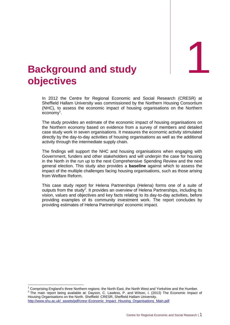1

## <span id="page-3-0"></span>1. **Background and study objectives**

In 2012 the Centre for Regional Economic and Social Research (CRESR) at Sheffield Hallam University was commissioned by the Northern Housing Consortium (NHC), to assess the economic impact of housing organisations on the Northern  $e$ conomy<sup>1</sup>.

The study provides an estimate of the economic impact of housing organisations on the Northern economy based on evidence from a survey of members and detailed case study work in seven organisations. It measures the economic activity stimulated directly by the day-to-day activities of housing organisations as well as the additional activity through the intermediate supply chain.

The findings will support the NHC and housing organisations when engaging with Government, funders and other stakeholders and will underpin the case for housing in the North in the run up to the next Comprehensive Spending Review and the next general election. This study also provides a **baseline** against which to assess the impact of the multiple challenges facing housing organisations, such as those arising from Welfare Reform.

This case study report for Helena Partnerships (Helena) forms one of a suite of outputs from the study<sup>2</sup>. It provides an overview of Helena Partnerships, including its vision, values and objectives and key facts relating to its day-to-day activities, before providing examples of its community investment work. The report concludes by providing estimates of Helena Partnerships' economic impact.

http://www.shu.ac.uk/\_assets/pdf/cresr-Economic\_Impact\_Housing\_Organisations\_Main.pdf

 $\overline{1}$ 

<sup>1</sup> Comprising England's three Northern regions: the North East, the North West and Yorkshire and the Humber.  $2$  The main report being available at: Dayson, C. Lawless, P. and Wilson, I. (2013) The Economic Impact of Housing Organisations on the North. Sheffield: CRESR, Sheffield Hallam University.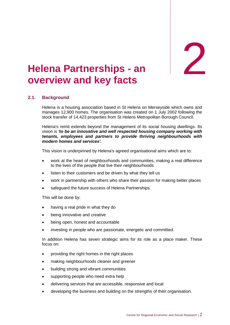**- an** 2

# <span id="page-4-0"></span>**Helena Partnerships - an overview and key facts**

#### <span id="page-4-1"></span>**2.1. Background**

Helena is a housing association based in St Helens on Merseyside which owns and manages 12,900 homes. The organisation was created on 1 July 2002 following the stock transfer of 14,423 properties from St Helens Metropolitan Borough Council.

Helena's remit extends beyond the management of its social housing dwellings. Its vision is *'to be an innovative and well respected housing company working with tenants, employees and partners to provide thriving neighbourhoods with modern homes and services'.*

This vision is underpinned by Helena's agreed organisational aims which are to:

- work at the heart of neighbourhoods and communities, making a real difference to the lives of the people that live their neighbourhoods
- listen to their customers and be driven by what they tell us
- work in partnership with others who share their passion for making better places
- safeguard the future success of Helena Partnerships.

This will be done by:

- having a real pride in what they do
- being innovative and creative
- being open, honest and accountable
- investing in people who are passionate, energetic and committed.

In addition Helena has seven strategic aims for its role as a place maker. These focus on:

- providing the right homes in the right places
- making neighbourhoods cleaner and greener
- building strong and vibrant communities
- supporting people who need extra help
- delivering services that are accessible, responsive and local
- developing the business and building on the strengths of their organisation.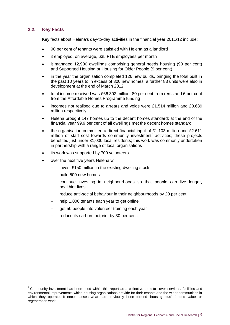#### <span id="page-5-0"></span>**2.2. Key Facts**

 $\overline{a}$ 

Key facts about Helena's day-to-day activities in the financial year 2011/12 include:

- 90 per cent of tenants were satisfied with Helena as a landlord
- it employed, on average, 635 FTE employees per month
- it managed 12,900 dwellings comprising general needs housing (90 per cent) and Supported Housing or Housing for Older People (9 per cent)
- in the year the organisation completed 126 new builds, bringing the total built in the past 10 years to in excess of 300 new homes; a further 83 units were also in development at the end of March 2012
- total income received was £66.392 million, 80 per cent from rents and 6 per cent from the Affordable Homes Programme funding
- incomes not realised due to arrears and voids were £1.514 million and £0.689 million respectively
- Helena brought 147 homes up to the decent homes standard; at the end of the financial year 99.9 per cent of all dwellings met the decent homes standard
- the organisation committed a direct financial input of £1.103 million and £2.611 million of staff cost towards community investment<sup>3</sup> activities; these projects benefited just under 31,000 local residents; this work was commonly undertaken in partnership with a range of local organisations
- its work was supported by 700 volunteers
- over the next five years Helena will:
	- invest £150 million in the existing dwelling stock
	- build 500 new homes
	- continue investing in neighbourhoods so that people can live longer, healthier lives
	- reduce anti-social behaviour in their neighbourhoods by 20 per cent
	- help 1,000 tenants each year to get online
	- get 50 people into volunteer training each year
	- reduce its carbon footprint by 30 per cent.

 $3$  Community investment has been used within this report as a collective term to cover services, facilities and environmental improvements which housing organisations provide for their tenants and the wider communities in which they operate. It encompasses what has previously been termed 'housing plus', 'added value' or regeneration work.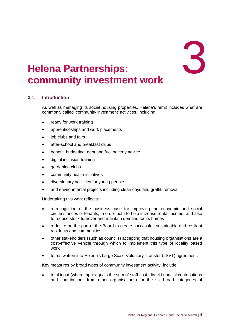# **:** 3

## <span id="page-6-0"></span>3. **Helena Partnerships community investment work**

#### <span id="page-6-1"></span>**3.1. Introduction**

As well as managing its social housing properties, Helena's remit includes what are commonly called 'community investment' activities, including:

- ready for work training
- apprenticeships and work placements
- job clubs and fairs
- after-school and breakfast clubs
- benefit, budgeting, debt and fuel poverty advice
- digital inclusion training
- gardening clubs
- community health initiatives
- diversionary activities for young people
- and environmental projects including clean days and graffiti removal.

Undertaking this work reflects:

- a recognition of the business case for improving the economic and social circumstances of tenants, in order both to help increase rental income, and also to reduce stock turnover and maintain demand for its homes
- a desire on the part of the Board to create successful, sustainable and resilient residents and communities
- other stakeholders (such as councils) accepting that housing organisations are a cost-effective vehicle through which to implement this type of locality based work
- terms written into Helena's Large Scale Voluntary Transfer (LSVT) agreement.

Key measures by broad types of community investment activity, include:

 total input (where input equals the sum of staff cost, direct financial contributions and contributions from other organisations) for the six broad categories of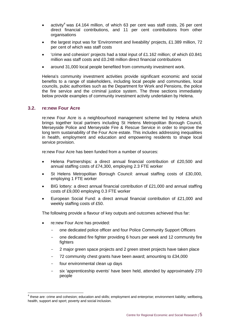- activity<sup>4</sup> was £4.164 million, of which 63 per cent was staff costs, 26 per cent direct financial contributions, and 11 per cent contributions from other organisations
- the largest input was for 'Environment and liveability' projects, £1.389 million, 72 per cent of which was staff costs
- 'crime and cohesion' projects had a total input of £1.162 million; of which £0.841 million was staff costs and £0.248 million direct financial contributions
- around 31,000 local people benefited from community investment work.

Helena's community investment activities provide significant economic and social benefits to a range of stakeholders, including local people and communities, local councils, pubic authorities such as the Department for Work and Pensions, the police the fire service and the criminal justice system. The three sections immediately below provide examples of community investment activity undertaken by Helena.

#### <span id="page-7-0"></span>**3.2. re:new Four Acre**

re:new Four Acre is a neighbourhood management scheme led by Helena which brings together local partners including St Helens Metropolitan Borough Council, Merseyside Police and Merseyside Fire & Rescue Service in order to improve the long term sustainability of the Four Acre estate. This includes addressing inequalities in health, employment and education and empowering residents to shape local service provision.

re:new Four Acre has been funded from a number of sources:

- Helena Partnerships: a direct annual financial contribution of £20,500 and annual staffing costs of £74,300, employing 2.3 FTE worker
- St Helens Metropolitan Borough Council: annual staffing costs of £30,000, employing 1 FTE worker
- BIG lottery: a direct annual financial contribution of £21,000 and annual staffing costs of £9,000 employing 0.3 FTE worker
- European Social Fund: a direct annual financial contribution of £21,000 and weekly staffing costs of £50.

The following provide a flavour of key outputs and outcomes achieved thus far:

- re:new Four Acre has provided:
	- one dedicated police officer and four Police Community Support Officers
	- one dedicated fire fighter providing 6 hours per week and 12 community fire fighters
	- 2 major green space projects and 2 green street projects have taken place
	- 72 community chest grants have been award; amounting to £34,000
	- four environmental clean up days
	- six 'apprenticeship events' have been held, attended by approximately 270 people

 4 these are: crime and cohesion; education and skills; employment and enterprise; environment liability; wellbeing, health, support and sport; poverty and social inclusion.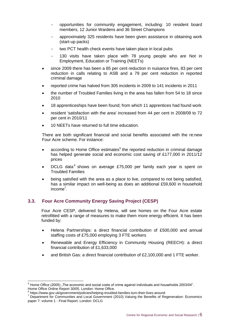- opportunities for community engagement, including: 10 resident board members, 12 Junior Wardens and 36 Street Champions
- approximately 325 residents have been given assistance in obtaining work (start-up packs)
- two PCT health check events have taken place in local pubs
- 130 visits have taken place with 78 young people who are Not in Employment, Education or Training (NEETs)
- since 2009 there has been a 85 per cent reduction in nuisance fires, 83 per cent reduction in calls relating to ASB and a 79 per cent reduction in reported criminal damage
- reported crime has halved from 305 incidents in 2009 to 141 incidents in 2011
- the number of Troubled Families living in the area has fallen from 54 to 18 since 2010
- 18 apprenticeships have been found; from which 11 apprentices had found work
- resident 'satisfaction with the area' increased from 44 per cent in 2008/09 to 72 per cent in 2010/11
- 10 NEETs have returned to full time education.

There are both significant financial and social benefits associated with the re:new Four Acre scheme. For instance:

- according to Home Office estimates<sup>5</sup> the reported reduction in criminal damage has helped generate social and economic cost saving of £177,000 in 2011/12 prices
- DCLG data<sup>6</sup> shows on average £75,000 per family each year is spent on Troubled Families
- being satisfied with the area as a place to live, compared to not being satisfied, has a similar impact on well-being as does an additional £59,600 in household income<sup>7</sup>.

#### <span id="page-8-0"></span>**3.3. Four Acre Community Energy Saving Project (CESP)**

Four Acre CESP, delivered by Helena, will see homes on the Four Acre estate retrofitted with a range of measures to make them more energy efficient. It has been funded by:

- Helena Partnerships: a direct financial contribution of £500,000 and annual staffing costs of £75,000 employing 3 FTE workers
- Renewable and Energy Efficiency in Community Housing (REECH): a direct financial contribution of £1,633,000
- and British Gas: a direct financial contribution of £2,100,000 and 1 FTE worker.

-

 $5$  Home Office (2005) "The economic and social costs of crime against individuals and households 2003/04". Home Office Online Report 30/05. London: Home Office.<br><sup>6</sup> https://www.gov.uk/government/policies/helping-troubled-families-turn-their-lives-around

<sup>7</sup> Department for Communities and Local Government (2010) Valuing the Benefits of Regeneration: Economics paper 7: volume 1 - Final Report. London: DCLG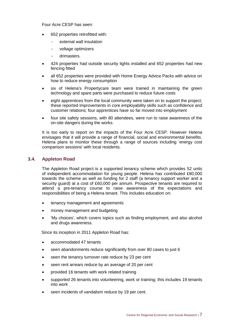Four Acre CESP has seen:

- 652 properties retrofitted with:
	- external wall insulation
	- voltage optimizers
	- drimasters.
- 424 properties had outside security lights installed and 652 properties had new fencing fitted
- all 652 properties were provided with Home Energy Advice Packs with advice on how to reduce energy consumption
- six of Helena's Propertycare team were trained in maintaining the green technology and spare parts were purchased to reduce future costs
- eight apprentices from the local community were taken on to support the project; these reported improvements in core employability skills such as confidence and customer relations; four apprentices have so far moved into employment
- four site safety sessions, with 80 attendees, were run to raise awareness of the on-site dangers during the works.

It is too early to report on the impacts of the Four Acre CESP. However Helena envisages that it will provide a range of financial, social and environmental benefits. Helena plans to monitor these through a range of sources including 'energy cost comparison sessions' with local residents.

#### <span id="page-9-0"></span>**3.4. Appleton Road**

The Appleton Road project is a supported tenancy scheme which provides 52 units of independent accommodation for young people. Helena has contributed £80,000 towards the scheme as well as funding for 2 staff (a tenancy support worker and a security guard) at a cost of £60,000 per annum. Prospective tenants are required to attend a pre-tenancy course to raise awareness of the expectations and responsibilities of being a Helena tenant. This includes education on:

- tenancy management and agreements
- money management and budgeting
- 'My choices', which covers topics such as finding employment, and also alcohol and drugs awareness.

Since its inception in 2011 Appleton Road has:

- accommodated 47 tenants
- seen abandonments reduce significantly from over 80 cases to just 6
- seen the tenancy turnover rate reduce by 23 per cent
- seen rent arrears reduce by an average of 20 per cent
- provided 16 tenants with work related training
- supported 26 tenants into volunteering, work or training; this includes 19 tenants into work
- seen incidents of vandalism reduce by 19 per cent.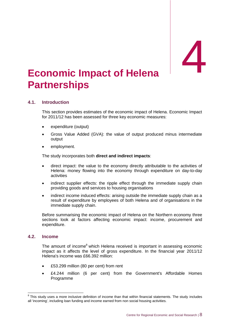# <span id="page-10-0"></span>**Economic Impact of Helena Partnerships**

#### <span id="page-10-1"></span>**4.1. Introduction**

This section provides estimates of the economic impact of Helena. Economic Impact for 2011/12 has been assessed for three key economic measures:

- expenditure (output)
- Gross Value Added (GVA): the value of output produced minus intermediate output
- employment.

The study incorporates both **direct and indirect impacts**:

- direct impact: the value to the economy directly attributable to the activities of Helena: money flowing into the economy through expenditure on day-to-day activities
- indirect supplier effects: the ripple effect through the immediate supply chain providing goods and services to housing organisations
- indirect income induced effects: arising outside the immediate supply chain as a result of expenditure by employees of both Helena and of organisations in the immediate supply chain.

Before summarising the economic impact of Helena on the Northern economy three sections look at factors affecting economic impact: income, procurement and expenditure.

#### <span id="page-10-2"></span>**4.2. Income**

The amount of income<sup>8</sup> which Helena received is important in assessing economic impact as it affects the level of gross expenditure. In the financial year 2011/12 Helena's income was £66.392 million:

- £53.299 million (80 per cent) from rent
- £4.244 million (6 per cent) from the Government's Affordable Homes Programme

 8 This study uses a more inclusive definition of income than that within financial statements. The study includes all 'incoming', including loan funding and income earned from non social housing activities.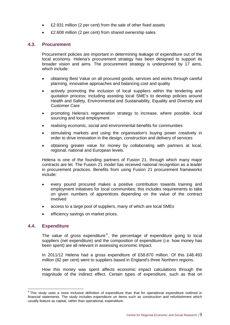- £2.931 million (2 per cent) from the sale of other fixed assets
- £2.608 million (2 per cent) from shared ownership sales.

#### <span id="page-11-0"></span>**4.3. Procurement**

Procurement policies are important in determining leakage of expenditure out of the local economy. Helena's procurement strategy has been designed to support its broader vision and aims. The procurement strategy is underpinned by 17 aims, which include:

- obtaining Best Value on all procured goods, services and works through careful planning, innovative approaches and balancing cost and quality
- actively promoting the inclusion of local suppliers within the tendering and quotation process; including assisting local SME's to develop policies around Health and Safety, Environmental and Sustainability, Equality and Diversity and Customer Care
- promoting Helena's regeneration strategy to increase, where possible, local sourcing and local employment
- realising economic, social and environmental benefits for communities
- stimulating markets and using the organisation's buying power creatively in order to drive innovation in the design, construction and delivery of services
- obtaining greater value for money by collaborating with partners at local, regional, national and European levels.

Helena is one of the founding partners of Fusion 21, through which many major contracts are let. The Fusion 21 model has received national recognition as a leader in procurement practices. Benefits from using Fusion 21 procurement frameworks include:

- every pound procured makes a positive contribution towards training and employment initiatives for local communities; this includes requirements to take on given numbers of apprentices depending on the value of the contract involved
- access to a large pool of suppliers, many of which are local SMEs
- efficiency savings on market prices.

#### <span id="page-11-1"></span>**4.4. Expenditure**

The value of gross expenditure $9$ , the percentage of expenditure going to local suppliers (net expenditure) and the composition of expenditure (i.e. how money has been spent) are all relevant in assessing economic impact.

In 2011/12 Helena had a gross expenditure of £58.870 million. Of this £48.493 million (82 per cent) went to suppliers based in England's three Northern regions.

How this money was spent affects economic impact calculations through the magnitude of the indirect effect. Certain types of expenditure, such as that on

 9 This study uses a more inclusive definition of expenditure than that for operational expenditure outlined in financial statements. The study includes expenditure on items such as construction and refurbishment which usually feature as capital, rather than operational, expenditure.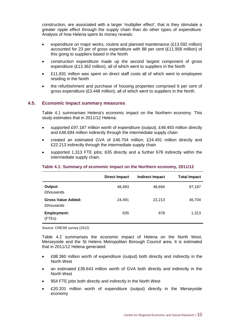construction, are associated with a larger 'multiplier effect', that is they stimulate a greater ripple effect through the supply chain than do other types of expenditure. Analysis of how Helena spent its money reveals:

- expenditure on major works, routine and planned maintenance (£13.592 million) accounted for 23 per of gross expenditure with 88 per cent (£11.958 million) of this going to suppliers based in the North
- construction expenditure made up the second largest component of gross expenditure (£13.362 million), all of which went to suppliers in the North
- £11.831 million was spent on direct staff costs all of which went to employees residing in the North
- the refurbishment and purchase of housing properties comprised 6 per cent of gross expenditure (£3.448 million); all of which went to suppliers in the North.

#### <span id="page-12-0"></span>**4.5. Economic Impact summary measures**

Table 4.1 summarises Helena's economic impact on the Northern economy. This study estimates that in 2011/12 Helena:

- supported £97.187 million worth of expenditure (output); £48.493 million directly and £48.694 million indirectly through the intermediate supply chain
- created an estimated GVA of £46.704 million; £24.491 million directly and £22.213 indirectly through the intermediate supply chain
- supported 1,313 FTE jobs; 635 directly and a further 678 indirectly within the intermediate supply chain.

#### **Table 4.1: Summary of economic impact on the Northern economy, 2011/12**

|                                                | <b>Direct Impact</b> | <b>Indirect Impact</b> | <b>Total Impact</b> |
|------------------------------------------------|----------------------|------------------------|---------------------|
| Output:<br><b>£thousands</b>                   | 48,493               | 48,694                 | 97,187              |
| <b>Gross Value Added:</b><br><b>£thousands</b> | 24,491               | 22,213                 | 46,704              |
| <b>Employment:</b><br>(FTEs)                   | 635                  | 678                    | 1,313               |

Source: CRESR survey (2012)

Table 4.2 summarises the economic impact of Helena on the North West, Merseyside and the St Helens Metropolitan Borough Council area. It is estimated that in 2011/12 Helena generated:

- £88.360 million worth of expenditure (output) both directly and indirectly in the North West
- an estimated £38.643 million worth of GVA both directly and indirectly in the North West
- 954 FTE jobs both directly and indirectly in the North West
- £20.201 million worth of expenditure (output) directly in the Merseyside economy